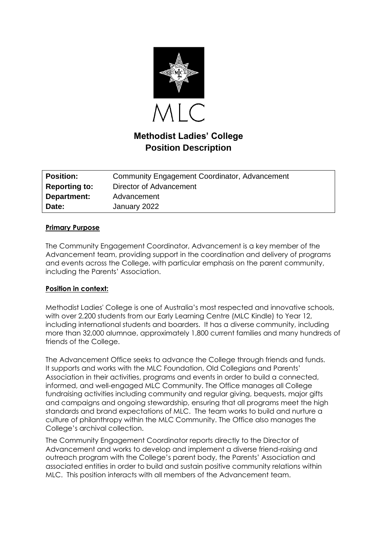

# **Methodist Ladies' College Position Description**

| <b>Position:</b>     | <b>Community Engagement Coordinator, Advancement</b> |
|----------------------|------------------------------------------------------|
| <b>Reporting to:</b> | Director of Advancement                              |
| Department:          | Advancement                                          |
| Date:                | January 2022                                         |

#### **Primary Purpose**

The Community Engagement Coordinator, Advancement is a key member of the Advancement team, providing support in the coordination and delivery of programs and events across the College, with particular emphasis on the parent community, including the Parents' Association.

## **Position in context:**

Methodist Ladies' College is one of Australia's most respected and innovative schools, with over 2,200 students from our Early Learning Centre (MLC Kindle) to Year 12, including international students and boarders. It has a diverse community, including more than 32,000 alumnae, approximately 1,800 current families and many hundreds of friends of the College.

The Advancement Office seeks to advance the College through friends and funds. It supports and works with the MLC Foundation, Old Collegians and Parents' Association in their activities, programs and events in order to build a connected, informed, and well-engaged MLC Community. The Office manages all College fundraising activities including community and regular giving, bequests, major gifts and campaigns and ongoing stewardship, ensuring that all programs meet the high standards and brand expectations of MLC. The team works to build and nurture a culture of philanthropy within the MLC Community. The Office also manages the College's archival collection.

The Community Engagement Coordinator reports directly to the Director of Advancement and works to develop and implement a diverse friend-raising and outreach program with the College's parent body, the Parents' Association and associated entities in order to build and sustain positive community relations within MLC. This position interacts with all members of the Advancement team.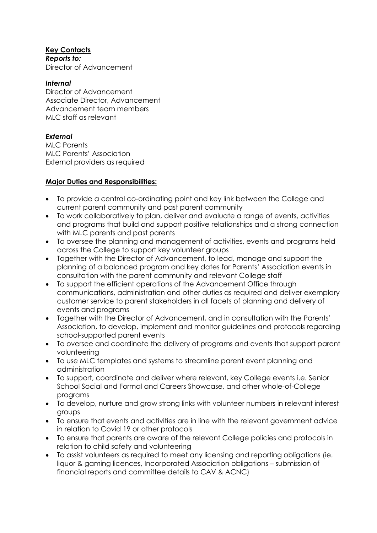## **Key Contacts**

*Reports to:* Director of Advancement

## *Internal*

Director of Advancement Associate Director, Advancement Advancement team members MLC staff as relevant

# *External*

MLC Parents MLC Parents' Association External providers as required

# **Major Duties and Responsibilities:**

- To provide a central co-ordinating point and key link between the College and current parent community and past parent community
- To work collaboratively to plan, deliver and evaluate a range of events, activities and programs that build and support positive relationships and a strong connection with MLC parents and past parents
- To oversee the planning and management of activities, events and programs held across the College to support key volunteer groups
- Together with the Director of Advancement, to lead, manage and support the planning of a balanced program and key dates for Parents' Association events in consultation with the parent community and relevant College staff
- To support the efficient operations of the Advancement Office through communications, administration and other duties as required and deliver exemplary customer service to parent stakeholders in all facets of planning and delivery of events and programs
- Together with the Director of Advancement, and in consultation with the Parents' Association, to develop, implement and monitor guidelines and protocols regarding school-supported parent events
- To oversee and coordinate the delivery of programs and events that support parent volunteering
- To use MLC templates and systems to streamline parent event planning and administration
- To support, coordinate and deliver where relevant, key College events i.e. Senior School Social and Formal and Careers Showcase, and other whole-of-College programs
- To develop, nurture and grow strong links with volunteer numbers in relevant interest groups
- To ensure that events and activities are in line with the relevant government advice in relation to Covid 19 or other protocols
- To ensure that parents are aware of the relevant College policies and protocols in relation to child safety and volunteering
- To assist volunteers as required to meet any licensing and reporting obligations (ie. liquor & gaming licences, Incorporated Association obligations – submission of financial reports and committee details to CAV & ACNC)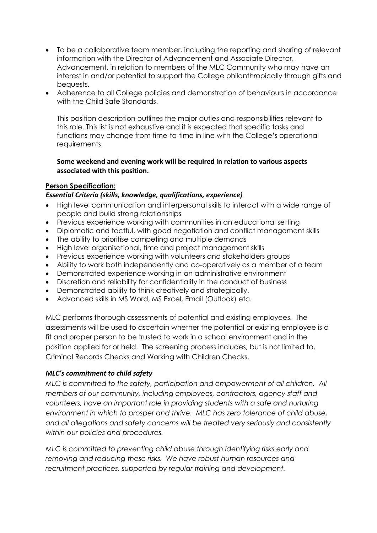- To be a collaborative team member, including the reporting and sharing of relevant information with the Director of Advancement and Associate Director, Advancement, in relation to members of the MLC Community who may have an interest in and/or potential to support the College philanthropically through gifts and bequests.
- Adherence to all College policies and demonstration of behaviours in accordance with the Child Safe Standards.

This position description outlines the major duties and responsibilities relevant to this role. This list is not exhaustive and it is expected that specific tasks and functions may change from time-to-time in line with the College's operational requirements.

## **Some weekend and evening work will be required in relation to various aspects associated with this position.**

## **Person Specification:**

#### *Essential Criteria (skills, knowledge, qualifications, experience)*

- High level communication and interpersonal skills to interact with a wide range of people and build strong relationships
- Previous experience working with communities in an educational setting
- Diplomatic and tactful, with good negotiation and conflict management skills
- The ability to prioritise competing and multiple demands
- High level organisational, time and project management skills
- Previous experience working with volunteers and stakeholders groups
- Ability to work both independently and co-operatively as a member of a team
- Demonstrated experience working in an administrative environment
- Discretion and reliability for confidentiality in the conduct of business
- Demonstrated ability to think creatively and strategically.
- Advanced skills in MS Word, MS Excel, Email (Outlook) etc.

MLC performs thorough assessments of potential and existing employees. The assessments will be used to ascertain whether the potential or existing employee is a fit and proper person to be trusted to work in a school environment and in the position applied for or held. The screening process includes, but is not limited to, Criminal Records Checks and Working with Children Checks.

#### *MLC's commitment to child safety*

*MLC is committed to the safety, participation and empowerment of all children. All members of our community, including employees, contractors, agency staff and*  volunteers, have an important role in providing students with a safe and nurturing *environment in which to prosper and thrive. MLC has zero tolerance of child abuse, and all allegations and safety concerns will be treated very seriously and consistently within our policies and procedures.* 

*MLC is committed to preventing child abuse through identifying risks early and removing and reducing these risks. We have robust human resources and recruitment practices, supported by regular training and development.*